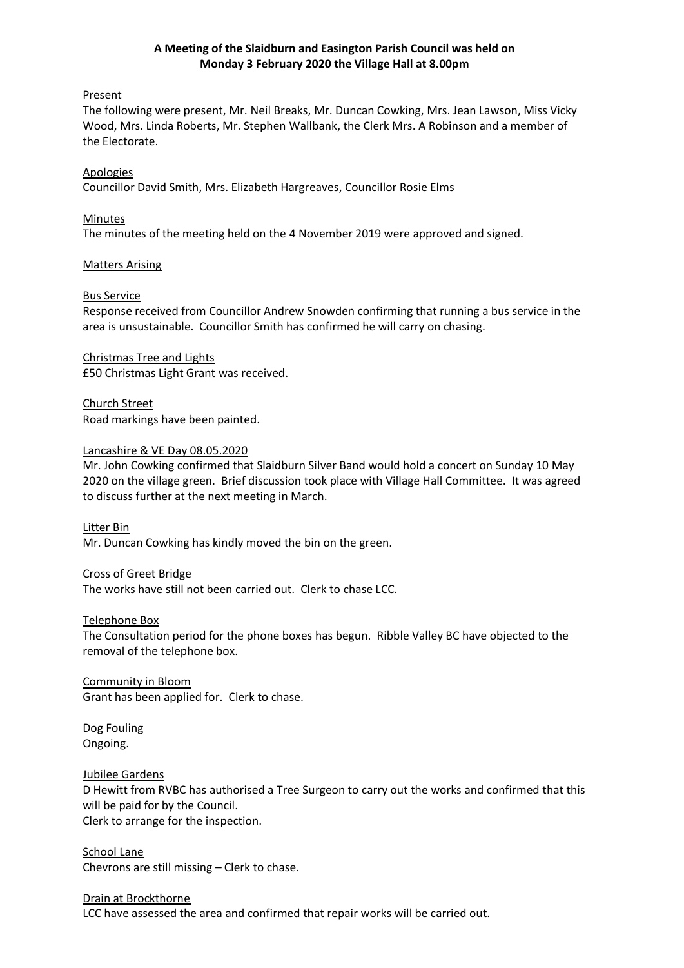# **A Meeting of the Slaidburn and Easington Parish Council was held on Monday 3 February 2020 the Village Hall at 8.00pm**

# Present

The following were present, Mr. Neil Breaks, Mr. Duncan Cowking, Mrs. Jean Lawson, Miss Vicky Wood, Mrs. Linda Roberts, Mr. Stephen Wallbank, the Clerk Mrs. A Robinson and a member of the Electorate.

# Apologies

Councillor David Smith, Mrs. Elizabeth Hargreaves, Councillor Rosie Elms

#### Minutes

The minutes of the meeting held on the 4 November 2019 were approved and signed.

#### Matters Arising

#### Bus Service

Response received from Councillor Andrew Snowden confirming that running a bus service in the area is unsustainable. Councillor Smith has confirmed he will carry on chasing.

Christmas Tree and Lights £50 Christmas Light Grant was received.

Church Street Road markings have been painted.

#### Lancashire & VE Day 08.05.2020

Mr. John Cowking confirmed that Slaidburn Silver Band would hold a concert on Sunday 10 May 2020 on the village green. Brief discussion took place with Village Hall Committee. It was agreed to discuss further at the next meeting in March.

# Litter Bin

Mr. Duncan Cowking has kindly moved the bin on the green.

#### Cross of Greet Bridge

The works have still not been carried out. Clerk to chase LCC.

#### Telephone Box

The Consultation period for the phone boxes has begun. Ribble Valley BC have objected to the removal of the telephone box.

Community in Bloom Grant has been applied for. Clerk to chase.

Dog Fouling Ongoing.

#### Jubilee Gardens

D Hewitt from RVBC has authorised a Tree Surgeon to carry out the works and confirmed that this will be paid for by the Council. Clerk to arrange for the inspection.

School Lane Chevrons are still missing – Clerk to chase.

# Drain at Brockthorne

LCC have assessed the area and confirmed that repair works will be carried out.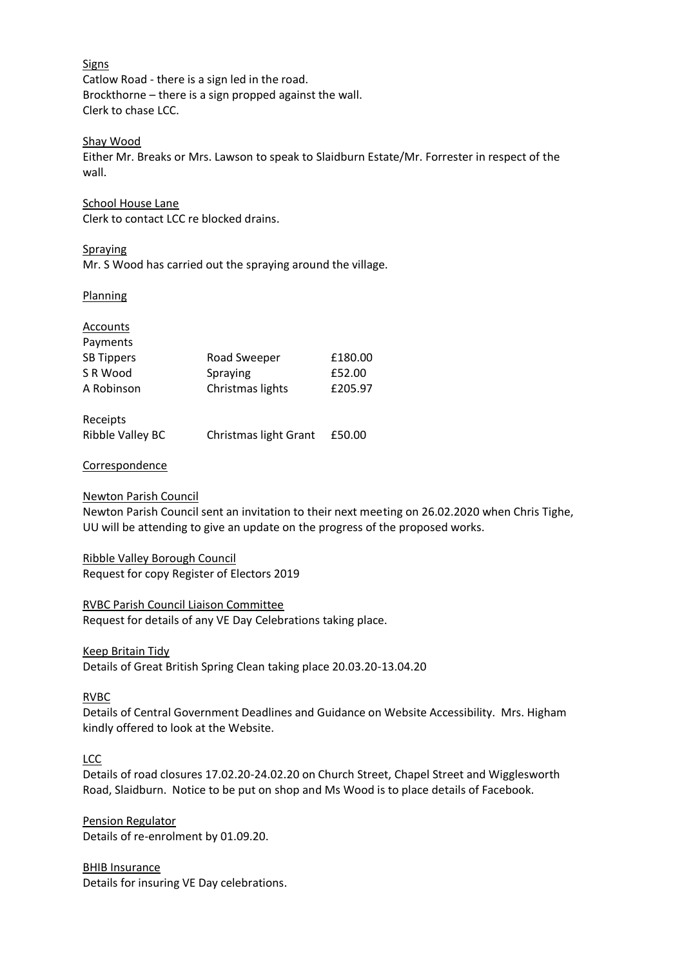Signs Catlow Road - there is a sign led in the road. Brockthorne – there is a sign propped against the wall. Clerk to chase LCC.

# Shay Wood

Either Mr. Breaks or Mrs. Lawson to speak to Slaidburn Estate/Mr. Forrester in respect of the wall.

#### School House Lane

Clerk to contact LCC re blocked drains.

#### Spraying

Mr. S Wood has carried out the spraying around the village.

#### **Planning**

# Accounts Payments SB Tippers Road Sweeper £180.00 S R Wood Spraying 5R Wood A Robinson Christmas lights E205.97

| Receipts         |                       |        |
|------------------|-----------------------|--------|
| Ribble Valley BC | Christmas light Grant | £50.00 |

# **Correspondence**

# Newton Parish Council

Newton Parish Council sent an invitation to their next meeting on 26.02.2020 when Chris Tighe, UU will be attending to give an update on the progress of the proposed works.

# Ribble Valley Borough Council

Request for copy Register of Electors 2019

# RVBC Parish Council Liaison Committee

Request for details of any VE Day Celebrations taking place.

# Keep Britain Tidy

Details of Great British Spring Clean taking place 20.03.20-13.04.20

# RVBC

Details of Central Government Deadlines and Guidance on Website Accessibility. Mrs. Higham kindly offered to look at the Website.

# LCC

Details of road closures 17.02.20-24.02.20 on Church Street, Chapel Street and Wigglesworth Road, Slaidburn. Notice to be put on shop and Ms Wood is to place details of Facebook.

Pension Regulator Details of re-enrolment by 01.09.20.

BHIB Insurance Details for insuring VE Day celebrations.